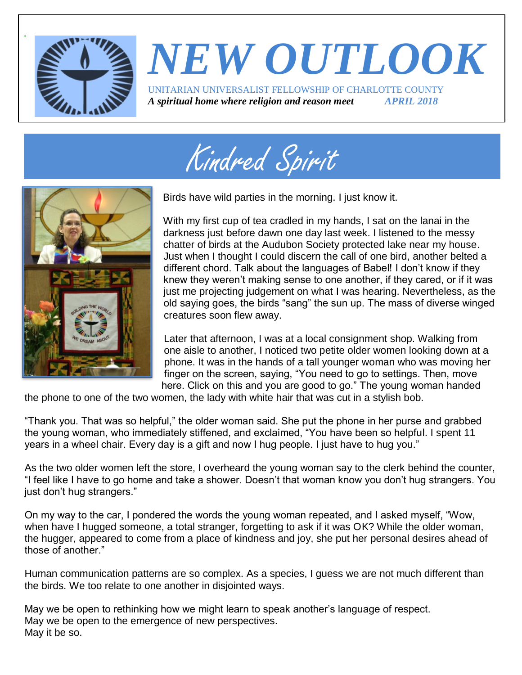

### *NEW OUTLOOK* UNITARIAN UNIVERSALIST FELLOWSHIP OF CHARLOTTE COUNTY *A spiritual home where religion and reason meet APRIL 2018*

Page 1





Birds have wild parties in the morning. I just know it.

With my first cup of tea cradled in my hands, I sat on the lanai in the darkness just before dawn one day last week. I listened to the messy chatter of birds at the Audubon Society protected lake near my house. Just when I thought I could discern the call of one bird, another belted a different chord. Talk about the languages of Babel! I don't know if they knew they weren't making sense to one another, if they cared, or if it was just me projecting judgement on what I was hearing. Nevertheless, as the old saying goes, the birds "sang" the sun up. The mass of diverse winged creatures soon flew away.

Later that afternoon, I was at a local consignment shop. Walking from one aisle to another, I noticed two petite older women looking down at a phone. It was in the hands of a tall younger woman who was moving her finger on the screen, saying, "You need to go to settings. Then, move here. Click on this and you are good to go." The young woman handed

the phone to one of the two women, the lady with white hair that was cut in a stylish bob.

"Thank you. That was so helpful," the older woman said. She put the phone in her purse and grabbed the young woman, who immediately stiffened, and exclaimed, "You have been so helpful. I spent 11 years in a wheel chair. Every day is a gift and now I hug people. I just have to hug you."

As the two older women left the store, I overheard the young woman say to the clerk behind the counter, "I feel like I have to go home and take a shower. Doesn't that woman know you don't hug strangers. You just don't hug strangers."

On my way to the car, I pondered the words the young woman repeated, and I asked myself, "Wow, when have I hugged someone, a total stranger, forgetting to ask if it was OK? While the older woman, the hugger, appeared to come from a place of kindness and joy, she put her personal desires ahead of those of another."

Human communication patterns are so complex. As a species, I guess we are not much different than the birds. We too relate to one another in disjointed ways.

May we be open to rethinking how we might learn to speak another's language of respect. May we be open to the emergence of new perspectives. May it be so.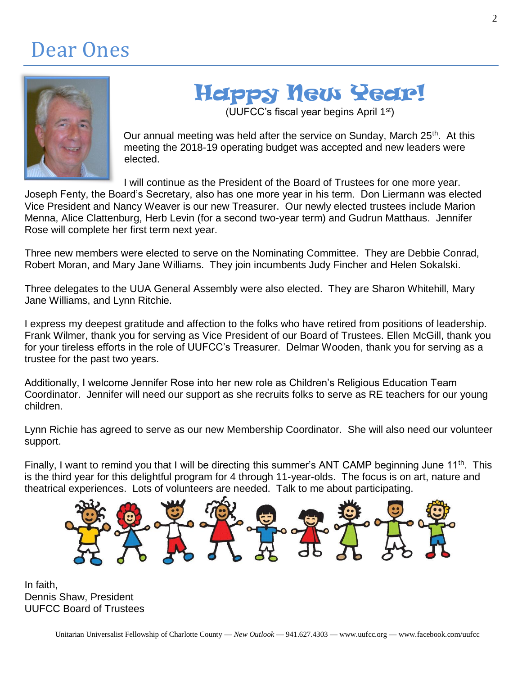### Dear Ones



## Happy New Year!

(UUFCC's fiscal year begins April 1st)

Our annual meeting was held after the service on Sunday, March 25<sup>th</sup>. At this meeting the 2018-19 operating budget was accepted and new leaders were elected.

I will continue as the President of the Board of Trustees for one more year.

Joseph Fenty, the Board's Secretary, also has one more year in his term. Don Liermann was elected Vice President and Nancy Weaver is our new Treasurer. Our newly elected trustees include Marion Menna, Alice Clattenburg, Herb Levin (for a second two-year term) and Gudrun Matthaus. Jennifer Rose will complete her first term next year.

Three new members were elected to serve on the Nominating Committee. They are Debbie Conrad, Robert Moran, and Mary Jane Williams. They join incumbents Judy Fincher and Helen Sokalski.

Three delegates to the UUA General Assembly were also elected. They are Sharon Whitehill, Mary Jane Williams, and Lynn Ritchie.

I express my deepest gratitude and affection to the folks who have retired from positions of leadership. Frank Wilmer, thank you for serving as Vice President of our Board of Trustees. Ellen McGill, thank you for your tireless efforts in the role of UUFCC's Treasurer. Delmar Wooden, thank you for serving as a trustee for the past two years.

Additionally, I welcome Jennifer Rose into her new role as Children's Religious Education Team Coordinator. Jennifer will need our support as she recruits folks to serve as RE teachers for our young children.

Lynn Richie has agreed to serve as our new Membership Coordinator. She will also need our volunteer support.

Finally, I want to remind you that I will be directing this summer's ANT CAMP beginning June 11<sup>th</sup>. This is the third year for this delightful program for 4 through 11-year-olds. The focus is on art, nature and theatrical experiences. Lots of volunteers are needed. Talk to me about participating.



In faith, Dennis Shaw, President UUFCC Board of Trustees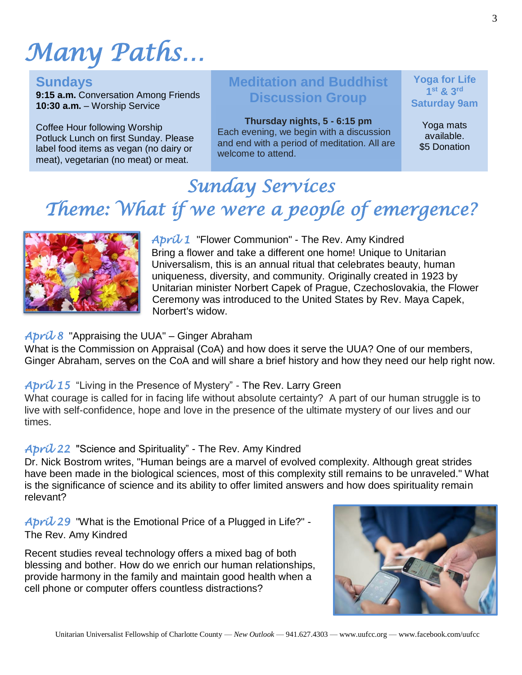# *Many Paths…*

#### **Sundays**

**9:15 a.m.** Conversation Among Friends **10:30 a.m.** – Worship Service

Coffee Hour following Worship Potluck Lunch on first Sunday. Please label food items as vegan (no dairy or meat), vegetarian (no meat) or meat.

#### **Meditation and Buddhist Discussion Group**

**Thursday nights, 5 - 6:15 pm** Each evening, we begin with a discussion and end with a period of meditation. All are welcome to attend.

**Yoga for Life 1 st & 3rd Saturday 9am**

> Yoga mats available. \$5 Donation

### *Sunday Services Theme: What if we were a people of emergence?*



#### *April 1* "Flower Communion" - The Rev. Amy Kindred Bring a flower and take a different one home! Unique to Unitarian Universalism, this is an annual ritual that celebrates beauty, human uniqueness, diversity, and community. Originally created in 1923 by Unitarian minister Norbert Capek of Prague, Czechoslovakia, the Flower Ceremony was introduced to the United States by Rev. Maya Capek, Norbert's widow.

#### *April 8* "Appraising the UUA" – Ginger Abraham

What is the Commission on Appraisal (CoA) and how does it serve the UUA? One of our members, Ginger Abraham, serves on the CoA and will share a brief history and how they need our help right now.

#### *April 15* "Living in the Presence of Mystery" - The Rev. Larry Green

What courage is called for in facing life without absolute certainty? A part of our human struggle is to live with self-confidence, hope and love in the presence of the ultimate mystery of our lives and our times.

#### *April 22* "Science and Spirituality" - The Rev. Amy Kindred

Dr. Nick Bostrom writes, "Human beings are a marvel of evolved complexity. Although great strides have been made in the biological sciences, most of this complexity still remains to be unraveled." What is the significance of science and its ability to offer limited answers and how does spirituality remain relevant?

*April 29* "What is the Emotional Price of a Plugged in Life?" - The Rev. Amy Kindred

Recent studies reveal technology offers a mixed bag of both blessing and bother. How do we enrich our human relationships, provide harmony in the family and maintain good health when a cell phone or computer offers countless distractions?

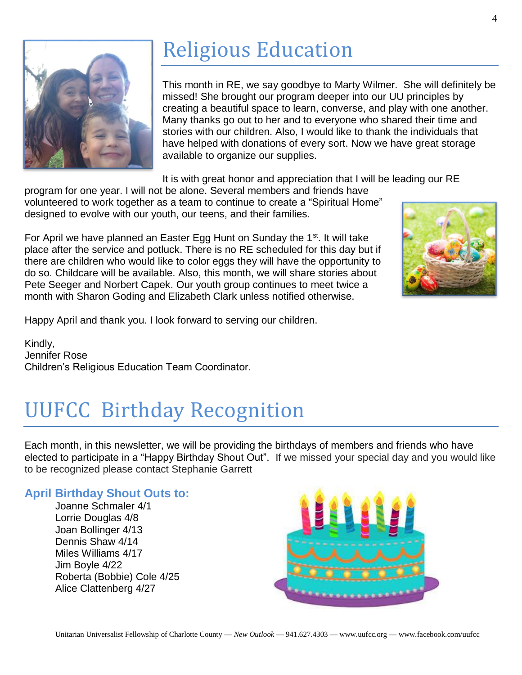

## Religious Education

This month in RE, we say goodbye to Marty Wilmer. She will definitely be missed! She brought our program deeper into our UU principles by creating a beautiful space to learn, converse, and play with one another. Many thanks go out to her and to everyone who shared their time and stories with our children. Also, I would like to thank the individuals that have helped with donations of every sort. Now we have great storage available to organize our supplies.

It is with great honor and appreciation that I will be leading our RE

program for one year. I will not be alone. Several members and friends have volunteered to work together as a team to continue to create a "Spiritual Home" designed to evolve with our youth, our teens, and their families.

For April we have planned an Easter Egg Hunt on Sunday the  $1<sup>st</sup>$ . It will take place after the service and potluck. There is no RE scheduled for this day but if there are children who would like to color eggs they will have the opportunity to do so. Childcare will be available. Also, this month, we will share stories about Pete Seeger and Norbert Capek. Our youth group continues to meet twice a month with Sharon Goding and Elizabeth Clark unless notified otherwise.

Happy April and thank you. I look forward to serving our children.

Kindly, Jennifer Rose Children's Religious Education Team Coordinator.

## UUFCC Birthday Recognition

Each month, in this newsletter, we will be providing the birthdays of members and friends who have elected to participate in a "Happy Birthday Shout Out". If we missed your special day and you would like to be recognized please contact Stephanie Garrett

#### **April Birthday Shout Outs to:**

Joanne Schmaler 4/1 Lorrie Douglas 4/8 Joan Bollinger 4/13 Dennis Shaw 4/14 Miles Williams 4/17 Jim Boyle 4/22 Roberta (Bobbie) Cole 4/25 Alice Clattenberg 4/27



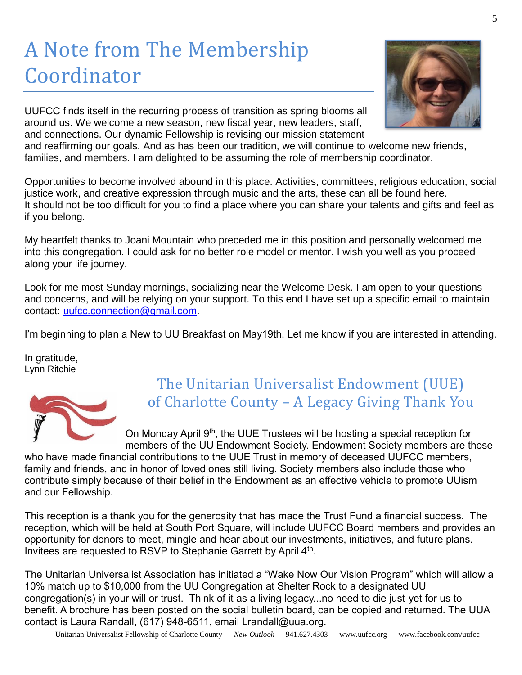## A Note from The Membership Coordinator



UUFCC finds itself in the recurring process of transition as spring blooms all around us. We welcome a new season, new fiscal year, new leaders, staff, and connections. Our dynamic Fellowship is revising our mission statement

and reaffirming our goals. And as has been our tradition, we will continue to welcome new friends, families, and members. I am delighted to be assuming the role of membership coordinator.

Opportunities to become involved abound in this place. Activities, committees, religious education, social justice work, and creative expression through music and the arts, these can all be found here. It should not be too difficult for you to find a place where you can share your talents and gifts and feel as if you belong.

My heartfelt thanks to Joani Mountain who preceded me in this position and personally welcomed me into this congregation. I could ask for no better role model or mentor. I wish you well as you proceed along your life journey.

Look for me most Sunday mornings, socializing near the Welcome Desk. I am open to your questions and concerns, and will be relying on your support. To this end I have set up a specific email to maintain contact: [uufcc.connection@gmail.com.](mailto:uufcc.connection@gmail.com)

I'm beginning to plan a New to UU Breakfast on May19th. Let me know if you are interested in attending.

In gratitude, Lynn Ritchie



The Unitarian Universalist Endowment (UUE) of Charlotte County – A Legacy Giving Thank You

On Monday April 9th, the UUE Trustees will be hosting a special reception for members of the UU Endowment Society. Endowment Society members are those

who have made financial contributions to the UUE Trust in memory of deceased UUFCC members, family and friends, and in honor of loved ones still living. Society members also include those who contribute simply because of their belief in the Endowment as an effective vehicle to promote UUism and our Fellowship.

This reception is a thank you for the generosity that has made the Trust Fund a financial success. The reception, which will be held at South Port Square, will include UUFCC Board members and provides an opportunity for donors to meet, mingle and hear about our investments, initiatives, and future plans. Invitees are requested to RSVP to Stephanie Garrett by April 4<sup>th</sup>.

The Unitarian Universalist Association has initiated a "Wake Now Our Vision Program" which will allow a 10% match up to \$10,000 from the UU Congregation at Shelter Rock to a designated UU congregation(s) in your will or trust. Think of it as a living legacy...no need to die just yet for us to benefit. A brochure has been posted on the social bulletin board, can be copied and returned. The UUA contact is Laura Randall, (617) 948-6511, email [Lrandall@uua.org.](mailto:Lrandall@uua.org)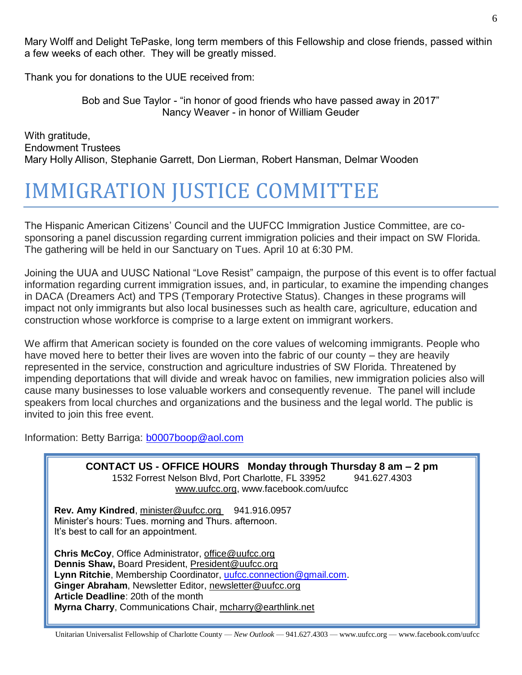Mary Wolff and Delight TePaske, long term members of this Fellowship and close friends, passed within a few weeks of each other. They will be greatly missed.

Thank you for donations to the UUE received from:

Bob and Sue Taylor - "in honor of good friends who have passed away in 2017" Nancy Weaver - in honor of William Geuder

With gratitude, Endowment Trustees Mary Holly Allison, Stephanie Garrett, Don Lierman, Robert Hansman, Delmar Wooden

### IMMIGRATION JUSTICE COMMITTEE

The Hispanic American Citizens' Council and the UUFCC Immigration Justice Committee, are cosponsoring a panel discussion regarding current immigration policies and their impact on SW Florida. The gathering will be held in our Sanctuary on Tues. April 10 at 6:30 PM.

Joining the UUA and UUSC National "Love Resist" campaign, the purpose of this event is to offer factual information regarding current immigration issues, and, in particular, to examine the impending changes in DACA (Dreamers Act) and TPS (Temporary Protective Status). Changes in these programs will impact not only immigrants but also local businesses such as health care, agriculture, education and construction whose workforce is comprise to a large extent on immigrant workers.

We affirm that American society is founded on the core values of welcoming immigrants. People who have moved here to better their lives are woven into the fabric of our county – they are heavily represented in the service, construction and agriculture industries of SW Florida. Threatened by impending deportations that will divide and wreak havoc on families, new immigration policies also will cause many businesses to lose valuable workers and consequently revenue. The panel will include speakers from local churches and organizations and the business and the legal world. The public is invited to join this free event.

Information: Betty Barriga: [b0007boop@aol.com](mailto:b0007boop@aol.com)

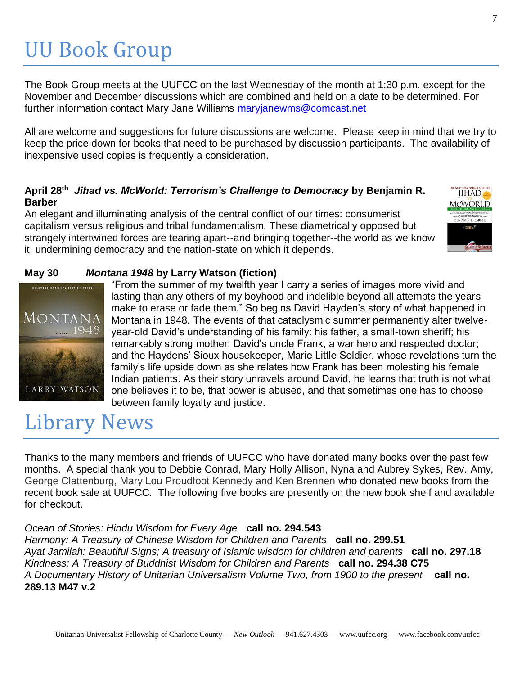## UU Book Group

The Book Group meets at the UUFCC on the last Wednesday of the month at 1:30 p.m. except for the November and December discussions which are combined and held on a date to be determined. For further information contact Mary Jane Williams [maryjanewms@comcast.net](mailto:maryjanewms@comcast.net)

All are welcome and suggestions for future discussions are welcome. Please keep in mind that we try to keep the price down for books that need to be purchased by discussion participants. The availability of inexpensive used copies is frequently a consideration.

#### **April 28th**  *Jihad vs. McWorld: Terrorism's Challenge to Democracy* **by Benjamin R. Barber**

An elegant and illuminating analysis of the central conflict of our times: consumerist capitalism versus religious and tribal fundamentalism. These diametrically opposed but strangely intertwined forces are tearing apart--and bringing together--the world as we know it, undermining democracy and the nation-state on which it depends.



#### **May 30** *Montana 1948* **by Larry Watson (fiction)**



"From the summer of my twelfth year I carry a series of images more vivid and lasting than any others of my boyhood and indelible beyond all attempts the years make to erase or fade them." So begins David Hayden's story of what happened in Montana in 1948. The events of that cataclysmic summer permanently alter twelveyear-old David's understanding of his family: his father, a small-town sheriff; his remarkably strong mother; David's uncle Frank, a war hero and respected doctor; and the Haydens' Sioux housekeeper, Marie Little Soldier, whose revelations turn the family's life upside down as she relates how Frank has been molesting his female Indian patients. As their story unravels around David, he learns that truth is not what one believes it to be, that power is abused, and that sometimes one has to choose between family loyalty and justice.

### Library News

Thanks to the many members and friends of UUFCC who have donated many books over the past few months. A special thank you to Debbie Conrad, Mary Holly Allison, Nyna and Aubrey Sykes, Rev. Amy, George Clattenburg, Mary Lou Proudfoot Kennedy and Ken Brennen who donated new books from the recent book sale at UUFCC. The following five books are presently on the new book shelf and available for checkout.

#### *Ocean of Stories: Hindu Wisdom for Every Age* **call no. 294.543**

*Harmony: A Treasury of Chinese Wisdom for Children and Parents* **call no. 299.51** *Ayat Jamilah: Beautiful Signs; A treasury of Islamic wisdom for children and parents* **call no. 297.18** *Kindness: A Treasury of Buddhist Wisdom for Children and Parents* **call no. 294.38 C75** *A Documentary History of Unitarian Universalism Volume Two, from 1900 to the present* **call no. 289.13 M47 v.2**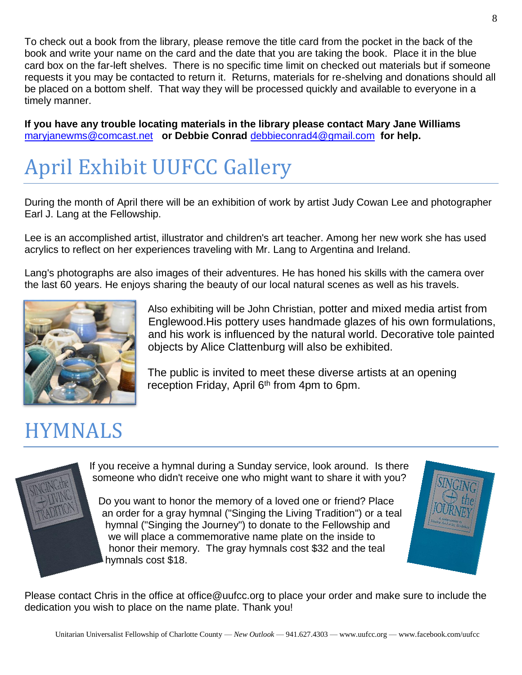To check out a book from the library, please remove the title card from the pocket in the back of the book and write your name on the card and the date that you are taking the book. Place it in the blue card box on the far-left shelves. There is no specific time limit on checked out materials but if someone requests it you may be contacted to return it. Returns, materials for re-shelving and donations should all be placed on a bottom shelf. That way they will be processed quickly and available to everyone in a timely manner.

**If you have any trouble locating materials in the library please contact Mary Jane Williams**  [maryjanewms@comcast.net](mailto:maryjanewms@comcast.net) **or Debbie Conrad** [debbieconrad4@gmail.com](mailto:debbieconrad4@gmail.com) **for help.**

## April Exhibit UUFCC Gallery

During the month of April there will be an exhibition of work by artist Judy Cowan Lee and photographer Earl J. Lang at the Fellowship.

Lee is an accomplished artist, illustrator and children's art teacher. Among her new work she has used acrylics to reflect on her experiences traveling with Mr. Lang to Argentina and Ireland.

Lang's photographs are also images of their adventures. He has honed his skills with the camera over the last 60 years. He enjoys sharing the beauty of our local natural scenes as well as his travels.



Also exhibiting will be John Christian, potter and mixed media artist from Englewood.His pottery uses handmade glazes of his own formulations, and his work is influenced by the natural world. Decorative tole painted objects by Alice Clattenburg will also be exhibited.

The public is invited to meet these diverse artists at an opening reception Friday, April 6<sup>th</sup> from 4pm to 6pm.

## HYMNALS

If you receive a hymnal during a Sunday service, look around. Is there someone who didn't receive one who might want to share it with you?

Do you want to honor the memory of a loved one or friend? Place an order for a gray hymnal ("Singing the Living Tradition") or a teal hymnal ("Singing the Journey") to donate to the Fellowship and we will place a commemorative name plate on the inside to honor their memory. The gray hymnals cost \$32 and the teal hymnals cost \$18.



Please contact Chris in the office at office@uufcc.org to place your order and make sure to include the dedication you wish to place on the name plate. Thank you!